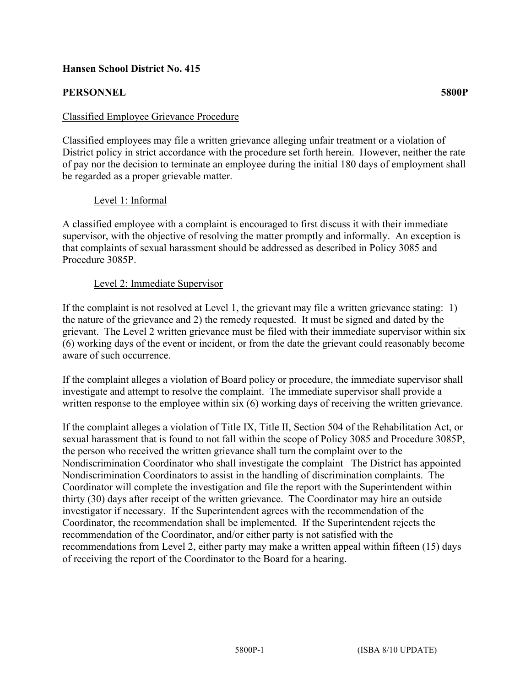## **Hansen School District No. 415**

# **PERSONNEL 5800P**

## Classified Employee Grievance Procedure

Classified employees may file a written grievance alleging unfair treatment or a violation of District policy in strict accordance with the procedure set forth herein. However, neither the rate of pay nor the decision to terminate an employee during the initial 180 days of employment shall be regarded as a proper grievable matter.

### Level 1: Informal

A classified employee with a complaint is encouraged to first discuss it with their immediate supervisor, with the objective of resolving the matter promptly and informally. An exception is that complaints of sexual harassment should be addressed as described in Policy 3085 and Procedure 3085P.

#### Level 2: Immediate Supervisor

If the complaint is not resolved at Level 1, the grievant may file a written grievance stating: 1) the nature of the grievance and 2) the remedy requested. It must be signed and dated by the grievant. The Level 2 written grievance must be filed with their immediate supervisor within six (6) working days of the event or incident, or from the date the grievant could reasonably become aware of such occurrence.

If the complaint alleges a violation of Board policy or procedure, the immediate supervisor shall investigate and attempt to resolve the complaint. The immediate supervisor shall provide a written response to the employee within six (6) working days of receiving the written grievance.

If the complaint alleges a violation of Title IX, Title II, Section 504 of the Rehabilitation Act, or sexual harassment that is found to not fall within the scope of Policy 3085 and Procedure 3085P, the person who received the written grievance shall turn the complaint over to the Nondiscrimination Coordinator who shall investigate the complaint The District has appointed Nondiscrimination Coordinators to assist in the handling of discrimination complaints. The Coordinator will complete the investigation and file the report with the Superintendent within thirty (30) days after receipt of the written grievance. The Coordinator may hire an outside investigator if necessary. If the Superintendent agrees with the recommendation of the Coordinator, the recommendation shall be implemented. If the Superintendent rejects the recommendation of the Coordinator, and/or either party is not satisfied with the recommendations from Level 2, either party may make a written appeal within fifteen (15) days of receiving the report of the Coordinator to the Board for a hearing.